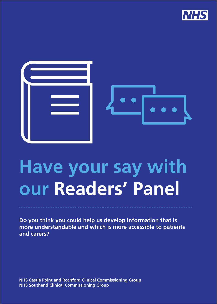



# **Have your say with our Readers' Panel**

**Do you think you could help us develop information that is more understandable and which is more accessible to patients and carers?**

**NHS Castle Point and Rochford Clinical Commissioning Group NHS Southend Clinical Commissioning Group**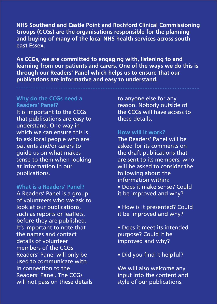**NHS Southend and Castle Point and Rochford Clinical Commissioning Groups (CCGs) are the organisations responsible for the planning and buying of many of the local NHS health services across south east Essex.**

**As CCGs, we are committed to engaging with, listening to and learning from our patients and carers. One of the ways we do this is through our Readers' Panel which helps us to ensure that our publications are informative and easy to understand.**

## **Why do the CCGs need a Readers' Panel?**

It is important to the CCGs that publications are easy to understand. One way in which we can ensure this is to ask local people who are patients and/or carers to guide us on what makes sense to them when looking at information in our publications.

#### **What is a Readers' Panel?**

A Readers' Panel is a group of volunteers who we ask to look at our publications, such as reports or leaflets, before they are published. It's important to note that the names and contact details of volunteer members of the CCGs Readers' Panel will only be used to communicate with in connection to the Readers' Panel. The CCGs will not pass on these details

to anyone else for any reason. Nobody outside of the CCGs will have access to these details.

#### **How will it work?**

The Readers' Panel will be asked for its comments on the draft publications that are sent to its members, who will be asked to consider the following about the information within: • Does it make sense? Could it be improved and why?

• How is it presented? Could it be improved and why?

- Does it meet its intended purpose? Could it be improved and why?
- Did you find it helpful?

We will also welcome any input into the content and style of our publications.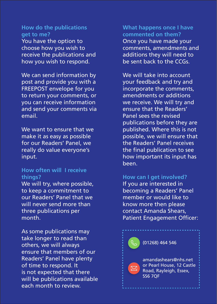# **How do the publications get to me?**

You have the option to choose how you wish to receive the publications and how you wish to respond.

We can send information by post and provide you with a FREEPOST envelope for you to return your comments, or you can receive information and send your comments via email.

We want to ensure that we make it as easy as possible for our Readers' Panel, we really do value everyone's input.

## **How often will I receive things?**

We will try, where possible, to keep a commitment to our Readers' Panel that we will never send more than three publications per month.

As some publications may take longer to read than others, we will always ensure that members of our Readers' Panel have plenty of time to respond. It is not expected that there will be publications available each month to review.

**What happens once I have commented on them?** Once you have made your comments, amendments and additions they will need to be sent back to the CCGs.

We will take into account your feedback and try and incorporate the comments, amendments or additions we receive. We will try and ensure that the Readers' Panel sees the revised publications before they are published. Where this is not possible, we will ensure that the Readers' Panel receives the final publication to see how important its input has been.

### **How can I get involved?**

If you are interested in becoming a Readers' Panel member or would like to know more then please contact Amanda Shears, Patient Engagement Officer: